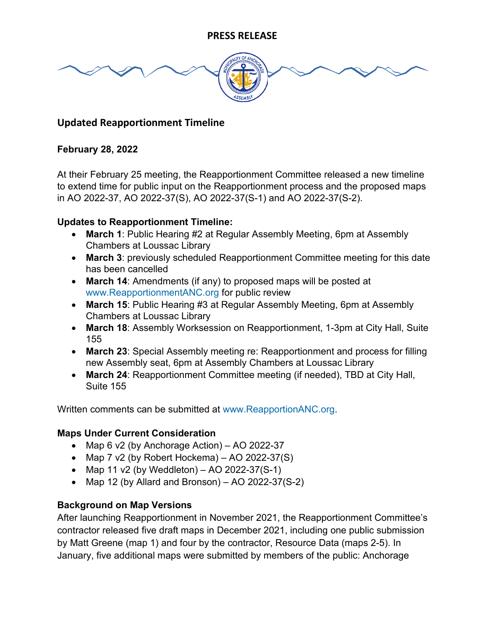

# **Updated Reapportionment Timeline**

#### **February 28, 2022**

At their February 25 meeting, the Reapportionment Committee released a new timeline to extend time for public input on the Reapportionment process and the proposed maps in AO 2022-37, AO 2022-37(S), AO 2022-37(S-1) and AO 2022-37(S-2).

# **Updates to Reapportionment Timeline:**

- **March 1**: Public Hearing #2 at Regular Assembly Meeting, 6pm at Assembly Chambers at Loussac Library
- **March 3**: previously scheduled Reapportionment Committee meeting for this date has been cancelled
- **March 14**: Amendments (if any) to proposed maps will be posted at [www.ReapportionmentANC.org](http://www.reapportionmentanc.org/) for public review
- **March 15**: Public Hearing #3 at Regular Assembly Meeting, 6pm at Assembly Chambers at Loussac Library
- **March 18**: Assembly Worksession on Reapportionment, 1-3pm at City Hall, Suite 155
- **March 23**: Special Assembly meeting re: Reapportionment and process for filling new Assembly seat, 6pm at Assembly Chambers at Loussac Library
- **March 24**: Reapportionment Committee meeting (if needed), TBD at City Hall, Suite 155

Written comments can be submitted at [www.ReapportionANC.org.](http://www.reapportionanc.org/)

# **Maps Under Current Consideration**

- Map 6 v2 (by Anchorage Action) AO 2022-37
- Map 7 v2 (by Robert Hockema)  $-$  AO 2022-37(S)
- Map 11 v2 (by Weddleton) AO 2022-37(S-1)
- Map 12 (by Allard and Bronson) AO 2022-37(S-2)

# **Background on Map Versions**

After launching Reapportionment in November 2021, the Reapportionment Committee's contractor released five draft maps in December 2021, including one public submission by Matt Greene (map 1) and four by the contractor, Resource Data (maps 2-5). In January, five additional maps were submitted by members of the public: Anchorage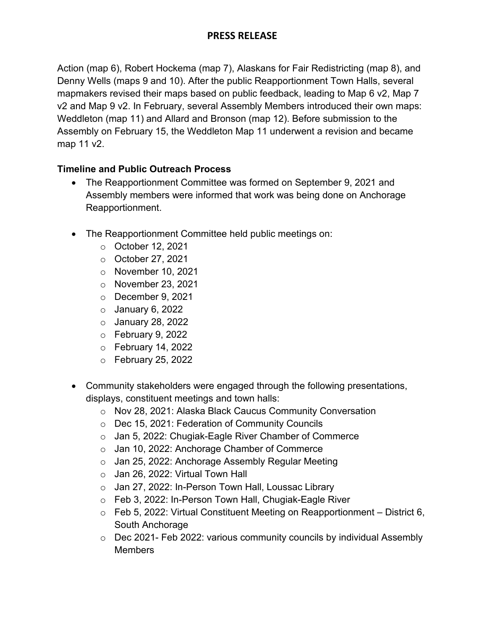# **PRESS RELEASE**

Action (map 6), Robert Hockema (map 7), Alaskans for Fair Redistricting (map 8), and Denny Wells (maps 9 and 10). After the public Reapportionment Town Halls, several mapmakers revised their maps based on public feedback, leading to Map 6 v2, Map 7 v2 and Map 9 v2. In February, several Assembly Members introduced their own maps: Weddleton (map 11) and Allard and Bronson (map 12). Before submission to the Assembly on February 15, the Weddleton Map 11 underwent a revision and became map 11 v2.

#### **Timeline and Public Outreach Process**

- The Reapportionment Committee was formed on September 9, 2021 and Assembly members were informed that work was being done on Anchorage Reapportionment.
- The Reapportionment Committee held public meetings on:
	- o October 12, 2021
	- o October 27, 2021
	- o November 10, 2021
	- o November 23, 2021
	- o December 9, 2021
	- $\circ$  January 6, 2022
	- $\circ$  January 28, 2022
	- $\circ$  February 9, 2022
	- o February 14, 2022
	- $\circ$  February 25, 2022
- Community stakeholders were engaged through the following presentations, displays, constituent meetings and town halls:
	- o Nov 28, 2021: Alaska Black Caucus Community Conversation
	- o Dec 15, 2021: Federation of Community Councils
	- o Jan 5, 2022: Chugiak-Eagle River Chamber of Commerce
	- o Jan 10, 2022: Anchorage Chamber of Commerce
	- o Jan 25, 2022: Anchorage Assembly Regular Meeting
	- o Jan 26, 2022: Virtual Town Hall
	- o Jan 27, 2022: In-Person Town Hall, Loussac Library
	- o Feb 3, 2022: In-Person Town Hall, Chugiak-Eagle River
	- $\circ$  Feb 5, 2022: Virtual Constituent Meeting on Reapportionment District 6, South Anchorage
	- $\circ$  Dec 2021- Feb 2022: various community councils by individual Assembly **Members**